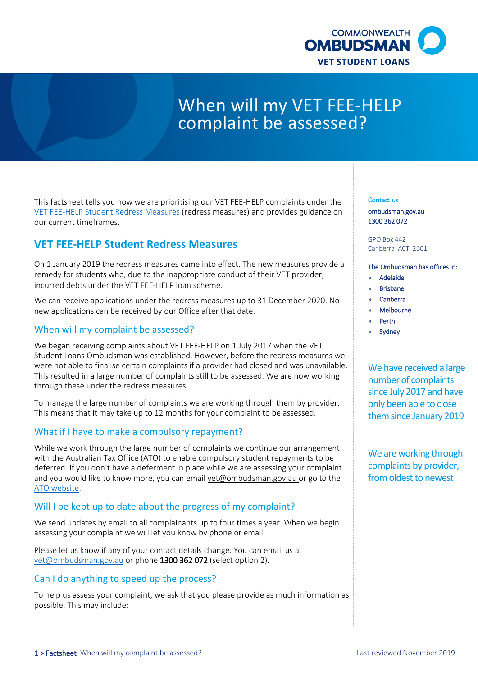

# When will my VET FEE-HELP complaint be assessed?

This factsheet tells you how we are prioritising our VET FEE-HELP complaints under the [VET FEE-HELP Student Redress Measures](http://www.ombudsman.gov.au/__data/assets/pdf_file/0028/96157/20190118-VET-FEE-HELP-Student-Redress-measures.pdf) (redress measures) and provides guidance on our current timeframes.

## **VET FEE-HELP Student Redress Measures**

On 1 January 2019 the redress measures came into effect. The new measures provide a remedy for students who, due to the inappropriate conduct of their VET provider, incurred debts under the VET FEE-HELP loan scheme.

We can receive applications under the redress measures up to 31 December 2020. No new applications can be received by our Office after that date.

## When will my complaint be assessed?

We began receiving complaints about VET FEE-HELP on 1 July 2017 when the VET Student Loans Ombudsman was established. However, before the redress measures we were not able to finalise certain complaints if a provider had closed and was unavailable. This resulted in a large number of complaints still to be assessed. We are now working through these under the redress measures.

To manage the large number of complaints we are working through them by provider. This means that it may take up to 12 months for your complaint to be assessed.

## What if I have to make a compulsory repayment?

While we work through the large number of complaints we continue our arrangement with the Australian Tax Office (ATO) to enable compulsory student repayments to be deferred. If you don't have a deferment in place while we are assessing your complaint and you would like to know more, you can emai[l vet@ombudsman.gov.au](mailto:vet@ombudsman.gov.au) or go to the [ATO website.](https://www.ato.gov.au/Individuals/Study-and-training-support-loans/Deferring-repayments/)

## Will I be kept up to date about the progress of my complaint?

We send updates by email to all complainants up to four times a year. When we begin assessing your complaint we will let you know by phone or email.

Please let us know if any of your contact details change. You can email us at [vet@ombudsman.gov.au](mailto:vet@ombudsman.gov.au) or phone 1300 362 072 (select option 2).

#### Can I do anything to speed up the process?

To help us assess your complaint, we ask that you please provide as much information as possible. This may include:

#### Contact us

[ombudsman.gov.au](http://www.ombudsman.gov.au/)  1300 362 072

GPO Box 442 Canberra ACT 2601

#### The Ombudsman has offices in:

- » Adelaide
- » Brisbane
- » Canberra
- » Melbourne
- » Perth
- **Sydney**

We have received a large number of complaints since July 2017 and have only been able to close them since January 2019

We are working through complaints by provider, from oldest to newest